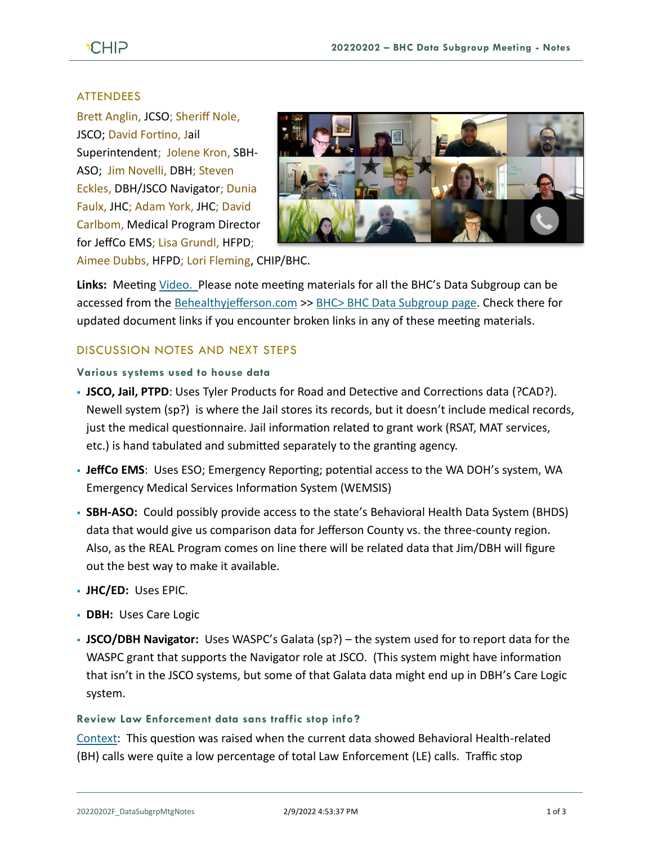# **CHIP**

# ATTENDEES

Brett Anglin, JCSO; Sheriff Nole, JSCO; David Fortino, Jail Superintendent; Jolene Kron, SBH-ASO; Jim Novelli, DBH; Steven Eckles, DBH/JSCO Navigator; Dunia Faulx, JHC; Adam York, JHC; David Carlbom, Medical Program Director for JeffCo EMS; Lisa Grundl, HFPD;



Aimee Dubbs, HFPD; Lori Fleming, CHIP/BHC.

**Links:** Meeting [Video.](https://www.youtube.com/watch?v=_sLKZcxihW4) Please note meeting materials for all the BHC's Data Subgroup can be accessed from the [Behealthyjefferson.com](https://www.behealthyjefferson.com/) >> BHC> [BHC Data Subgroup](https://www.behealthyjefferson.com/bhcdata) page. Check there for updated document links if you encounter broken links in any of these meeting materials.

# DISCUSSION NOTES AND NEXT STEPS

### **Various systems used to house data**

- **JSCO, Jail, PTPD**: Uses Tyler Products for Road and Detective and Corrections data (?CAD?). Newell system (sp?) is where the Jail stores its records, but it doesn't include medical records, just the medical questionnaire. Jail information related to grant work (RSAT, MAT services, etc.) is hand tabulated and submitted separately to the granting agency.
- **JeffCo EMS**: Uses ESO; Emergency Reporting; potential access to the WA DOH's system, WA Emergency Medical Services Information System (WEMSIS)
- **SBH-ASO:** Could possibly provide access to the state's Behavioral Health Data System (BHDS) data that would give us comparison data for Jefferson County vs. the three-county region. Also, as the REAL Program comes on line there will be related data that Jim/DBH will figure out the best way to make it available.
- **JHC/ED:** Uses EPIC.
- **DBH:** Uses Care Logic
- **JSCO/DBH Navigator:** Uses WASPC's Galata (sp?) the system used for to report data for the WASPC grant that supports the Navigator role at JSCO. (This system might have information that isn't in the JSCO systems, but some of that Galata data might end up in DBH's Care Logic system.

## **Review Law Enforcement data sans traffic stop info?**

[Context:](https://youtu.be/_sLKZcxihW4?t=624) This question was raised when the current data showed Behavioral Health-related (BH) calls were quite a low percentage of total Law Enforcement (LE) calls. Traffic stop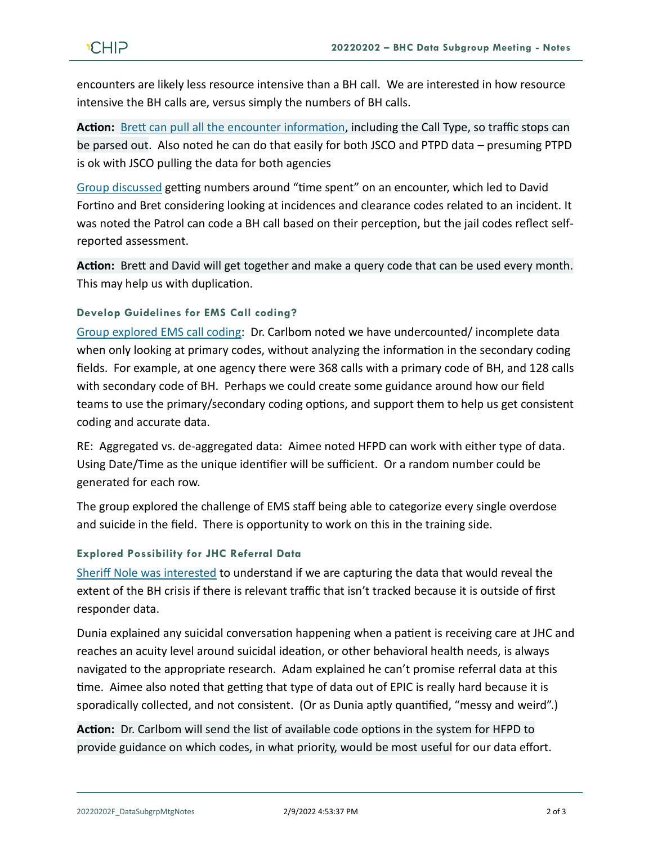encounters are likely less resource intensive than a BH call. We are interested in how resource intensive the BH calls are, versus simply the numbers of BH calls.

**Action:** [Brett can pull all the](https://youtu.be/_sLKZcxihW4?t=902) encounter information, including the Call Type, so traffic stops can be parsed out. Also noted he can do that easily for both JSCO and PTPD data – presuming PTPD is ok with JSCO pulling the data for both agencies

[Group discussed](https://youtu.be/_sLKZcxihW4?t=1061) getting numbers around "time spent" on an encounter, which led to David Fortino and Bret considering looking at incidences and clearance codes related to an incident. It was noted the Patrol can code a BH call based on their perception, but the jail codes reflect selfreported assessment.

**Action:** Brett and David will get together and make a query code that can be used every month. This may help us with duplication.

## **Develop Guidelines for EMS Call coding?**

[Group explored EMS call coding:](https://youtu.be/_sLKZcxihW4?t=1544) Dr. Carlbom noted we have undercounted/ incomplete data when only looking at primary codes, without analyzing the information in the secondary coding fields. For example, at one agency there were 368 calls with a primary code of BH, and 128 calls with secondary code of BH. Perhaps we could create some guidance around how our field teams to use the primary/secondary coding options, and support them to help us get consistent coding and accurate data.

RE: Aggregated vs. de-aggregated data: Aimee noted HFPD can work with either type of data. Using Date/Time as the unique identifier will be sufficient. Or a random number could be generated for each row.

The group explored the challenge of EMS staff being able to categorize every single overdose and suicide in the field. There is opportunity to work on this in the training side.

#### **Explored Possibility for JHC Referral Data**

[Sheriff Nole was interested](https://youtu.be/_sLKZcxihW4?t=2153) to understand if we are capturing the data that would reveal the extent of the BH crisis if there is relevant traffic that isn't tracked because it is outside of first responder data.

Dunia explained any suicidal conversation happening when a patient is receiving care at JHC and reaches an acuity level around suicidal ideation, or other behavioral health needs, is always navigated to the appropriate research. Adam explained he can't promise referral data at this time. Aimee also noted that getting that type of data out of EPIC is really hard because it is sporadically collected, and not consistent. (Or as Dunia aptly quantified, "messy and weird".)

**Action:** Dr. Carlbom will send the list of available code options in the system for HFPD to provide guidance on which codes, in what priority, would be most useful for our data effort.